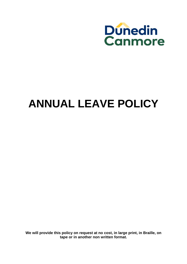

# **ANNUAL LEAVE POLICY**

**We will provide this policy on request at no cost, in large print, in Braille, on tape or in another non written format.**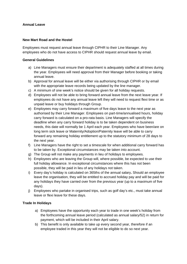# **Annual Leave**

#### **New Mart Road and the Hostel**

Employees must request annual leave through CIPHR to their Line Manager. Any employees who do not have access to CIPHR should request annual leave by email.

## **General Guidelines**

- a) Line Managers must ensure their department is adequately staffed at all times during the year. Employees will need approval from their Manager before booking or taking annual leave.
- b) Approval for annual leave will be either via authorising through CIPHR or by email with the appropriate leave records being updated by the line manager.
- c) A minimum of one week's notice should be given for all holiday requests.
- d) Employees will not be able to bring forward annual leave from the next leave year. If employees do not have any annual leave left they will need to request flexi time or as unpaid leave or buy holidays through Group.
- e) Employees may carry forward a maximum of five days leave to the next year as authorised by their Line Manager. Employees on part-time/annualised hours, holiday carry forward is calculated on a pro-rata basis. Line Managers will specify the deadline when any carry forward holiday is to be taken dependent on business needs, this date will normally be 1 April each year. Employees who have been/are on long term sick leave or Maternity/Adoption/Paternity leave will be able to carry forward any remaining holiday entitlement up to the statutory minimum of 28 days to the next year.
- f) Line Managers have the right to set a timescale for when additional carry forward has to be taken by. Exceptional circumstances may be taken into account.
- g) The Group will not make any payments in lieu of holidays to employees.
- h) Employees who are leaving the Group will, where possible, be expected to use their full holiday allowance. In exceptional circumstances where this has not been possible, they will be paid in lieu of any holidays not taken.
- i) Every day's holiday is calculated on 365ths of the annual salary**.** Should an employee leave the organisation, they will be entitled to accrued holiday pay and will be paid for any holidays they have carried over from the previous year (up to a maximum of five days).
- j) Employees who partake in organised trips, such as golf day's etc., must take annual leave or flexi leave for these days.

# **Trade In Holidays**

- a) Employees have the opportunity each year to trade in one week's holiday from the forthcoming annual leave period (calculated as annual salary/52) in return for payment, which will be included in their April salary.
- b) This benefit is only available to take up every second year, therefore if an employee traded in this year they will not be eligible to do so next year.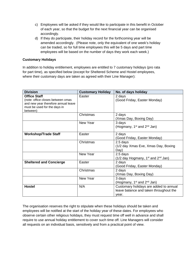- c) Employees will be asked if they would like to participate in this benefit in October of each year, so that the budget for the next financial year can be organised accordingly.
- d) If they do participate, their holiday record for the forthcoming year will be amended accordingly. (Please note, only the equivalent of one week's holiday can be traded, so for full time employees this will be 5 days and part time employees will be based on the number of days they work each week.)

# **Customary Holidays**

In addition to holiday entitlement, employees are entitled to 7 customary holidays (pro rata for part time), as specified below (except for Sheltered Scheme and Hostel employees, where their customary days are taken as agreed with their Line Manager):

| <b>Division</b>                                                                                                                             | <b>Customary Holiday</b> | No. of days holiday                                                                       |
|---------------------------------------------------------------------------------------------------------------------------------------------|--------------------------|-------------------------------------------------------------------------------------------|
| <b>Office Staff</b><br>(note: office closes between xmas<br>and new year therefore annual leave<br>must be used for the days in<br>between) | Easter                   | 2 days<br>(Good Friday, Easter Monday)                                                    |
|                                                                                                                                             | Christmas                | 2 days<br>(Xmas Day, Boxing Day)                                                          |
|                                                                                                                                             | New Year                 | 3 days<br>(Hogmany, $1^{st}$ and $2^{nd}$ Jan)                                            |
| <b>Workshop/Trade Staff</b>                                                                                                                 | Easter                   | 2 days<br>(Good Friday, Easter Monday)                                                    |
|                                                                                                                                             | Christmas                | 2.5 days<br>(1/2 day Xmas Eve, Xmas Day, Boxing<br>Day)                                   |
|                                                                                                                                             | New Year                 | 2.5 days<br>$(1/2)$ day Hogmany, 1 <sup>st</sup> and 2 <sup>nd</sup> Jan)                 |
| <b>Sheltered and Concierge</b>                                                                                                              | Easter                   | 2 days<br>(Good Friday, Easter Monday)                                                    |
|                                                                                                                                             | Christmas                | 2 days<br>(Xmas Day, Boxing Day)                                                          |
|                                                                                                                                             | New Year                 | 3 days<br>(Hogmany, $1^{st}$ and $2^{nd}$ Jan)                                            |
| <b>Hostel</b>                                                                                                                               | N/A                      | Customary holidays are added to annual<br>leave balance and taken throughout the<br>year. |

The organisation reserves the right to stipulate when these holidays should be taken and employees will be notified at the start of the holiday year of these dates. For employees who observe certain other religious holidays, they must request time off well in advance and shall require to use annual holiday entitlement to cover such time off. Line Managers will consider all requests on an individual basis, sensitively and from a practical point of view.